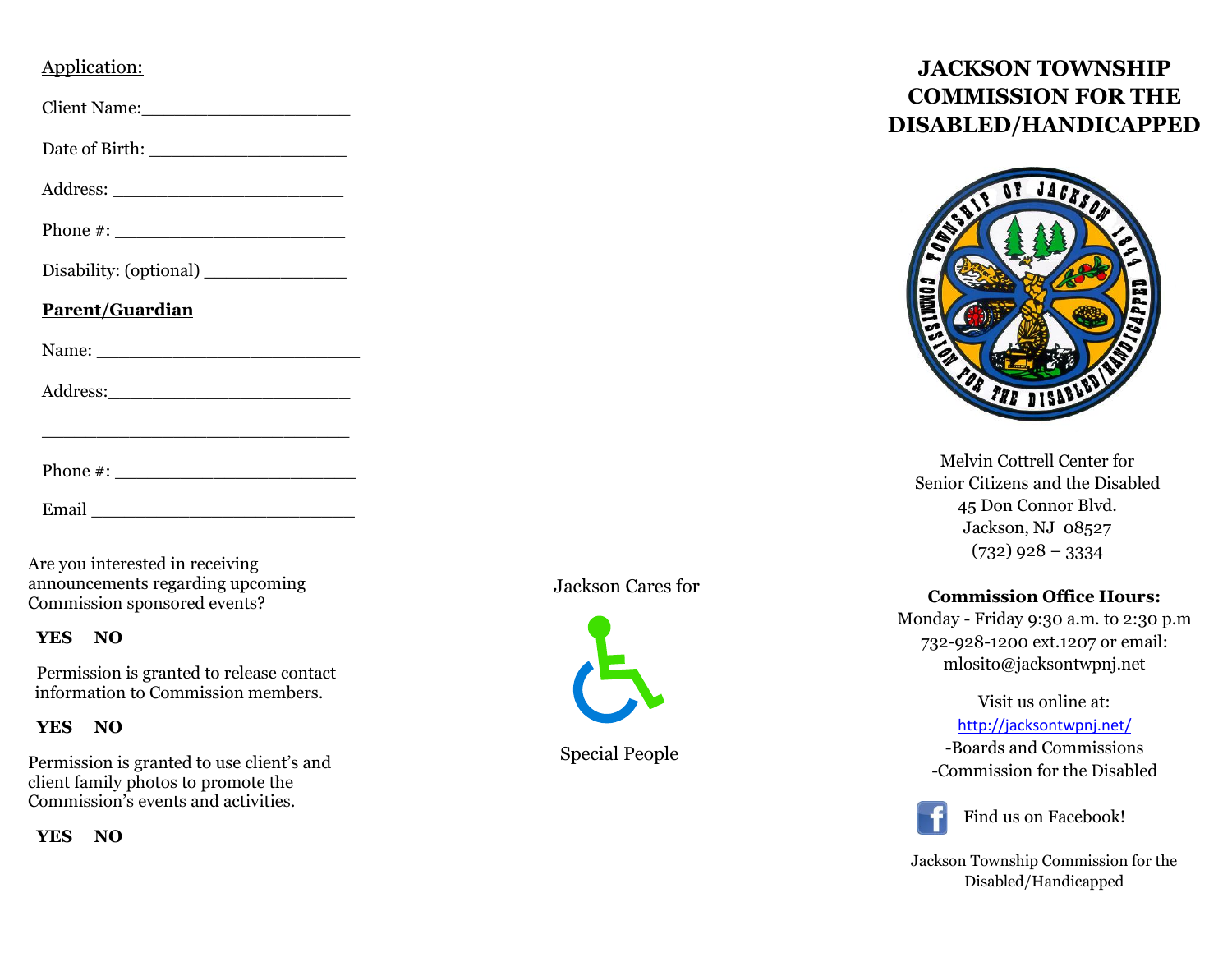# Application:

Client Name:

Date of Birth: \_\_\_\_\_\_\_\_\_\_\_\_\_\_\_\_\_\_

Address: \_\_\_\_\_\_\_\_\_\_\_\_\_\_\_\_\_\_\_\_\_

Phone  $\#$ :

 $\mathcal{L}_\mathcal{L}$  , and the set of the set of the set of the set of the set of the set of the set of the set of the set of the set of the set of the set of the set of the set of the set of the set of the set of the set of th

Disability: (optional) \_\_\_\_\_\_\_\_\_\_\_\_\_

#### **Parent/Guardian**

Name: \_\_\_\_\_\_\_\_\_\_\_\_\_\_\_\_\_\_\_\_\_\_\_\_

Address:

Phone #:

Email \_\_\_\_\_\_\_\_\_\_\_\_\_\_\_\_\_\_\_\_\_\_\_\_

Are you interested in receiving announcements regarding upcoming Commission sponsored events?

## **YES NO**

Permission is granted to release contact information to Commission members.

## **YES NO**

Permission is granted to use client's and client family photos to promote the Commission's events and activities.

**YES NO**

## Jackson Cares for



Special People

# **JACKSON TOWNSHIP COMMISSION FOR THE DISABLED/HANDICAPPED**



Melvin Cottrell Center for Senior Citizens and the Disabled 45 Don Connor Blvd. Jackson, NJ 08527  $(732)$  928 – 3334

## **Commission Office Hours:**

Monday - Friday 9:30 a.m. to 2:30 p.m 732-928-1200 ext.1207 or email: mlosito@jacksontwpnj.net

> Visit us online at: <http://jacksontwpnj.net/> -Boards and Commissions -Commission for the Disabled



Find us on Facebook!

Jackson Township Commission for the Disabled/Handicapped